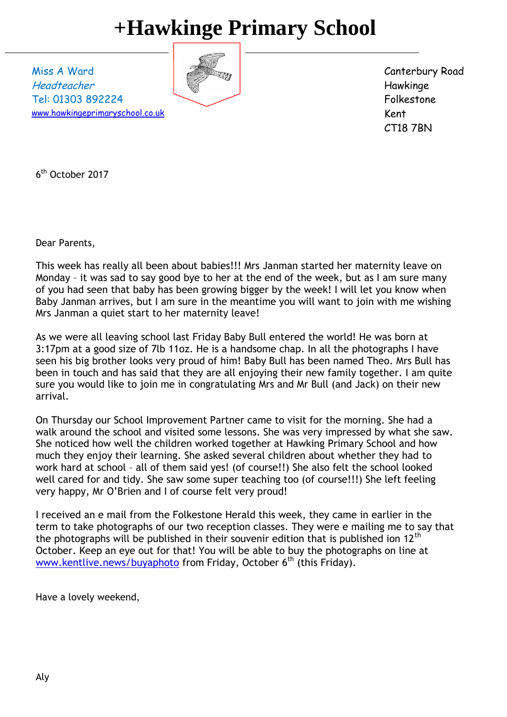## **+Hawkinge Primary School**

Miss A Ward Headteacher Tel: 01303 892224 [www.hawkingeprimaryschool.co.uk](http://www.hawkingeprimaryschool.co.uk/)



Canterbury Road Hawkinge Folkestone Kent CT18 7BN

6 th October 2017

Dear Parents,

This week has really all been about babies!!! Mrs Janman started her maternity leave on Monday – it was sad to say good bye to her at the end of the week, but as I am sure many of you had seen that baby has been growing bigger by the week! I will let you know when Baby Janman arrives, but I am sure in the meantime you will want to join with me wishing Mrs Janman a quiet start to her maternity leave!

As we were all leaving school last Friday Baby Bull entered the world! He was born at 3:17pm at a good size of 7lb 11oz. He is a handsome chap. In all the photographs I have seen his big brother looks very proud of him! Baby Bull has been named Theo. Mrs Bull has been in touch and has said that they are all enjoying their new family together. I am quite sure you would like to join me in congratulating Mrs and Mr Bull (and Jack) on their new arrival.

On Thursday our School Improvement Partner came to visit for the morning. She had a walk around the school and visited some lessons. She was very impressed by what she saw. She noticed how well the children worked together at Hawking Primary School and how much they enjoy their learning. She asked several children about whether they had to work hard at school – all of them said yes! (of course!!) She also felt the school looked well cared for and tidy. She saw some super teaching too (of course!!!) She left feeling very happy, Mr O'Brien and I of course felt very proud!

I received an e mail from the Folkestone Herald this week, they came in earlier in the term to take photographs of our two reception classes. They were e mailing me to say that the photographs will be published in their souvenir edition that is published ion  $12<sup>th</sup>$ October. Keep an eye out for that! You will be able to buy the photographs on line at [www.kentlive.news/buyaphoto](http://www.kentlive.news/buyaphoto) from Friday, October 6<sup>th</sup> (this Friday).

Have a lovely weekend,